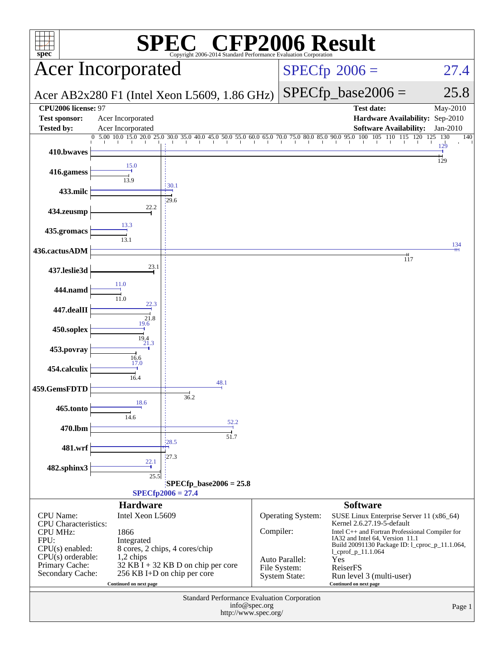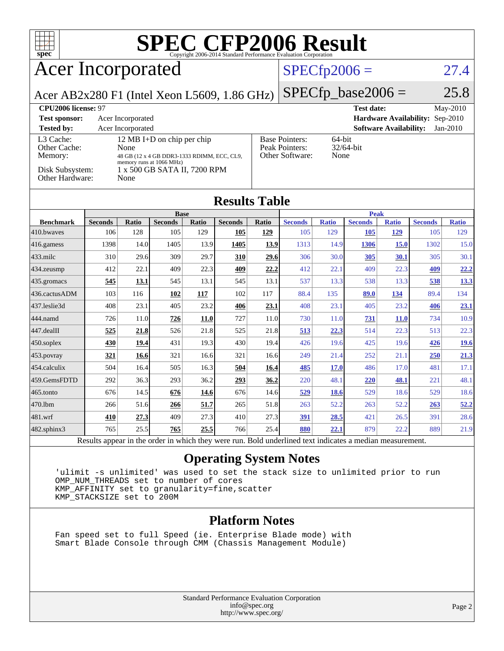

# **[SPEC CFP2006 Result](http://www.spec.org/auto/cpu2006/Docs/result-fields.html#SPECCFP2006Result)**

## Acer Incorporated

### $SPECfp2006 = 27.4$  $SPECfp2006 = 27.4$

Acer AB2x280 F1 (Intel Xeon L5609, 1.86 GHz)

 $SPECfp\_base2006 = 25.8$ 

| CPU <sub>2006</sub> license: 97      |                                                                                                               |                                                            | <b>Test date:</b><br>$\text{Mav-}2010$      |
|--------------------------------------|---------------------------------------------------------------------------------------------------------------|------------------------------------------------------------|---------------------------------------------|
| <b>Test sponsor:</b>                 | Acer Incorporated                                                                                             | <b>Hardware Availability: Sep-2010</b>                     |                                             |
| <b>Tested by:</b>                    | Acer Incorporated                                                                                             |                                                            | <b>Software Availability:</b><br>$Jan-2010$ |
| L3 Cache:<br>Other Cache:<br>Memory: | 12 MB I+D on chip per chip<br>None<br>48 GB (12 x 4 GB DDR3-1333 RDIMM, ECC, CL9,<br>memory runs at 1066 MHz) | <b>Base Pointers:</b><br>Peak Pointers:<br>Other Software: | 64-bit<br>$32/64$ -bit<br>None              |
| Disk Subsystem:<br>Other Hardware:   | 1 x 500 GB SATA II, 7200 RPM<br>None                                                                          |                                                            |                                             |

|                          | <b>Base</b>    |              |                |       | <b>Peak</b>    |       |                |              |                |              |                |              |
|--------------------------|----------------|--------------|----------------|-------|----------------|-------|----------------|--------------|----------------|--------------|----------------|--------------|
| <b>Benchmark</b>         | <b>Seconds</b> | <b>Ratio</b> | <b>Seconds</b> | Ratio | <b>Seconds</b> | Ratio | <b>Seconds</b> | <b>Ratio</b> | <b>Seconds</b> | <b>Ratio</b> | <b>Seconds</b> | <b>Ratio</b> |
| 410.bwayes               | 106            | 128          | 105            | 129   | 105            | 129   | 105            | 129          | 105            | <u>129</u>   | 105            | 129          |
| $416$ .gamess            | 1398           | 14.0         | 1405           | 13.9  | 1405           | 13.9  | 1313           | 14.9         | 1306           | 15.0         | 1302           | 15.0         |
| $ 433 \text{.}$ milc     | 310            | 29.6         | 309            | 29.7  | 310            | 29.6  | 306            | 30.0         | 305            | <u>30.1</u>  | 305            | 30.1         |
| $ 434$ . zeusmp          | 412            | 22.1         | 409            | 22.3  | 409            | 22.2  | 412            | 22.1         | 409            | 22.3         | 409            | 22.2         |
| $435$ .gromacs           | 545            | 13.1         | 545            | 13.1  | 545            | 13.1  | 537            | 13.3         | 538            | 13.3         | 538            | 13.3         |
| 436.cactusADM            | 103            | 116          | 102            | 117   | 102            | 117   | 88.4           | 135          | 89.0           | <u>134</u>   | 89.4           | 134          |
| 437.leslie3d             | 408            | 23.1         | 405            | 23.2  | 406            | 23.1  | 408            | 23.1         | 405            | 23.2         | 406            | <u>23.1</u>  |
| 444.namd                 | 726            | 11.0         | 726            | 11.0  | 727            | 11.0  | 730            | 11.0         | 731            | <b>11.0</b>  | 734            | 10.9         |
| $447$ .dealII            | 525            | 21.8         | 526            | 21.8  | 525            | 21.8  | 513            | 22.3         | 514            | 22.3         | 513            | 22.3         |
| $ 450$ .soplex           | 430            | <u>19.4</u>  | 431            | 19.3  | 430            | 19.4  | 426            | 19.6         | 425            | 19.6         | 426            | <u>19.6</u>  |
| 453.povray               | 321            | 16.6         | 321            | 16.6  | 321            | 16.6  | 249            | 21.4         | 252            | 21.1         | 250            | 21.3         |
| 454.calculix             | 504            | 16.4         | 505            | 16.3  | 504            | 16.4  | 485            | <b>17.0</b>  | 486            | 17.0         | 481            | 17.1         |
| 459.GemsFDTD             | 292            | 36.3         | 293            | 36.2  | 293            | 36.2  | 220            | 48.1         | 220            | 48.1         | 221            | 48.1         |
| 465.tonto                | 676            | 14.5         | 676            | 14.6  | 676            | 14.6  | 529            | 18.6         | 529            | 18.6         | 529            | 18.6         |
| 470.lbm                  | 266            | 51.6         | 266            | 51.7  | 265            | 51.8  | 263            | 52.2         | 263            | 52.2         | 263            | 52.2         |
| 481.wrf                  | 410            | 27.3         | 409            | 27.3  | 410            | 27.3  | <u>391</u>     | 28.5         | 421            | 26.5         | 391            | 28.6         |
| 482.sphinx3              | 765            | 25.5         | 765            | 25.5  | 766            | 25.4  | 880            | 22.1         | 879            | 22.2         | 889            | 21.9         |
| $\overline{\phantom{a}}$ |                |              |                |       |                | - - - |                |              | $\cdot$        |              |                |              |

Results appear in the [order in which they were run.](http://www.spec.org/auto/cpu2006/Docs/result-fields.html#RunOrder) Bold underlined text [indicates a median measurement.](http://www.spec.org/auto/cpu2006/Docs/result-fields.html#Median)

### **[Operating System Notes](http://www.spec.org/auto/cpu2006/Docs/result-fields.html#OperatingSystemNotes)**

 'ulimit -s unlimited' was used to set the stack size to unlimited prior to run OMP\_NUM\_THREADS set to number of cores KMP\_AFFINITY set to granularity=fine,scatter KMP\_STACKSIZE set to 200M

### **[Platform Notes](http://www.spec.org/auto/cpu2006/Docs/result-fields.html#PlatformNotes)**

 Fan speed set to full Speed (ie. Enterprise Blade mode) with Smart Blade Console through CMM (Chassis Management Module)

> Standard Performance Evaluation Corporation [info@spec.org](mailto:info@spec.org) <http://www.spec.org/>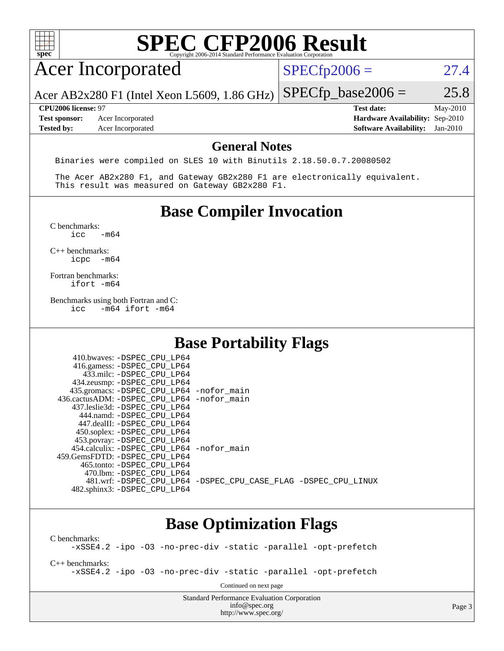| spec®                                                            | <b>SPEC CFP2006 Result</b><br>Copyright 2006-2014 Standard Performance Evaluation Corporation                                                                                                                                                                                                                  |                                                                                       |                        |
|------------------------------------------------------------------|----------------------------------------------------------------------------------------------------------------------------------------------------------------------------------------------------------------------------------------------------------------------------------------------------------------|---------------------------------------------------------------------------------------|------------------------|
| <b>Acer Incorporated</b>                                         |                                                                                                                                                                                                                                                                                                                | $SPECfp2006 =$                                                                        | 27.4                   |
|                                                                  | Acer AB2x280 F1 (Intel Xeon L5609, 1.86 GHz)                                                                                                                                                                                                                                                                   | $SPECfp\_base2006 =$                                                                  | 25.8                   |
| CPU2006 license: 97<br><b>Test sponsor:</b><br><b>Tested by:</b> | Acer Incorporated<br>Acer Incorporated                                                                                                                                                                                                                                                                         | <b>Test date:</b><br>Hardware Availability: Sep-2010<br><b>Software Availability:</b> | May-2010<br>$Jan-2010$ |
|                                                                  | <b>General Notes</b>                                                                                                                                                                                                                                                                                           |                                                                                       |                        |
|                                                                  | Binaries were compiled on SLES 10 with Binutils 2.18.50.0.7.20080502<br>The Acer AB2x280 F1, and Gateway GB2x280 F1 are electronically equivalent.                                                                                                                                                             |                                                                                       |                        |
|                                                                  | This result was measured on Gateway GB2x280 F1.                                                                                                                                                                                                                                                                |                                                                                       |                        |
|                                                                  | <b>Base Compiler Invocation</b>                                                                                                                                                                                                                                                                                |                                                                                       |                        |
| C benchmarks:<br>icc                                             | $-m64$                                                                                                                                                                                                                                                                                                         |                                                                                       |                        |
| $C_{++}$ benchmarks:<br>icpc                                     | $-m64$                                                                                                                                                                                                                                                                                                         |                                                                                       |                        |
| Fortran benchmarks:<br>ifort -m64                                |                                                                                                                                                                                                                                                                                                                |                                                                                       |                        |
| icc                                                              | Benchmarks using both Fortran and C:<br>$-m64$ ifort $-m64$                                                                                                                                                                                                                                                    |                                                                                       |                        |
|                                                                  | <b>Base Portability Flags</b>                                                                                                                                                                                                                                                                                  |                                                                                       |                        |
|                                                                  | 410.bwaves: -DSPEC CPU LP64<br>416.gamess: -DSPEC_CPU_LP64<br>433.milc: -DSPEC_CPU_LP64<br>434.zeusmp: -DSPEC_CPU_LP64<br>435.gromacs: -DSPEC_CPU_LP64 -nofor_main<br>436.cactusADM: -DSPEC_CPU_LP64 -nofor_main<br>437.leslie3d: -DSPEC_CPU_LP64<br>444.namd: - DSPEC_CPU_LP64<br>447.dealII: -DSPEC_CPU_LP64 |                                                                                       |                        |
|                                                                  |                                                                                                                                                                                                                                                                                                                |                                                                                       |                        |

[C benchmarks](http://www.spec.org/auto/cpu2006/Docs/result-fields.html#Cbenchmarks):

[-xSSE4.2](http://www.spec.org/cpu2006/results/res2010q3/cpu2006-20100715-12403.flags.html#user_CCbase_f-xSSE42_f91528193cf0b216347adb8b939d4107) [-ipo](http://www.spec.org/cpu2006/results/res2010q3/cpu2006-20100715-12403.flags.html#user_CCbase_f-ipo) [-O3](http://www.spec.org/cpu2006/results/res2010q3/cpu2006-20100715-12403.flags.html#user_CCbase_f-O3) [-no-prec-div](http://www.spec.org/cpu2006/results/res2010q3/cpu2006-20100715-12403.flags.html#user_CCbase_f-no-prec-div) [-static](http://www.spec.org/cpu2006/results/res2010q3/cpu2006-20100715-12403.flags.html#user_CCbase_f-static) [-parallel](http://www.spec.org/cpu2006/results/res2010q3/cpu2006-20100715-12403.flags.html#user_CCbase_f-parallel) [-opt-prefetch](http://www.spec.org/cpu2006/results/res2010q3/cpu2006-20100715-12403.flags.html#user_CCbase_f-opt-prefetch)

[C++ benchmarks:](http://www.spec.org/auto/cpu2006/Docs/result-fields.html#CXXbenchmarks)

[-xSSE4.2](http://www.spec.org/cpu2006/results/res2010q3/cpu2006-20100715-12403.flags.html#user_CXXbase_f-xSSE42_f91528193cf0b216347adb8b939d4107) [-ipo](http://www.spec.org/cpu2006/results/res2010q3/cpu2006-20100715-12403.flags.html#user_CXXbase_f-ipo) [-O3](http://www.spec.org/cpu2006/results/res2010q3/cpu2006-20100715-12403.flags.html#user_CXXbase_f-O3) [-no-prec-div](http://www.spec.org/cpu2006/results/res2010q3/cpu2006-20100715-12403.flags.html#user_CXXbase_f-no-prec-div) [-static](http://www.spec.org/cpu2006/results/res2010q3/cpu2006-20100715-12403.flags.html#user_CXXbase_f-static) [-parallel](http://www.spec.org/cpu2006/results/res2010q3/cpu2006-20100715-12403.flags.html#user_CXXbase_f-parallel) [-opt-prefetch](http://www.spec.org/cpu2006/results/res2010q3/cpu2006-20100715-12403.flags.html#user_CXXbase_f-opt-prefetch)

Continued on next page

Standard Performance Evaluation Corporation [info@spec.org](mailto:info@spec.org) <http://www.spec.org/>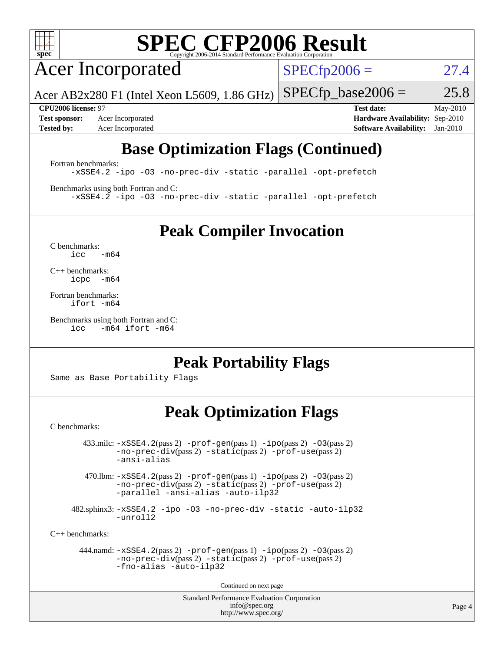

# **[SPEC CFP2006 Result](http://www.spec.org/auto/cpu2006/Docs/result-fields.html#SPECCFP2006Result)**

Acer Incorporated

 $SPECfp2006 = 27.4$  $SPECfp2006 = 27.4$ 

Acer AB2x280 F1 (Intel Xeon L5609, 1.86 GHz)  $SPECTp\_base2006 = 25.8$ 

**[Test sponsor:](http://www.spec.org/auto/cpu2006/Docs/result-fields.html#Testsponsor)** Acer Incorporated **[Hardware Availability:](http://www.spec.org/auto/cpu2006/Docs/result-fields.html#HardwareAvailability)** Sep-2010 **[Tested by:](http://www.spec.org/auto/cpu2006/Docs/result-fields.html#Testedby)** Acer Incorporated **[Software Availability:](http://www.spec.org/auto/cpu2006/Docs/result-fields.html#SoftwareAvailability)** Jan-2010

**[CPU2006 license:](http://www.spec.org/auto/cpu2006/Docs/result-fields.html#CPU2006license)** 97 **[Test date:](http://www.spec.org/auto/cpu2006/Docs/result-fields.html#Testdate)** May-2010

## **[Base Optimization Flags \(Continued\)](http://www.spec.org/auto/cpu2006/Docs/result-fields.html#BaseOptimizationFlags)**

[Fortran benchmarks](http://www.spec.org/auto/cpu2006/Docs/result-fields.html#Fortranbenchmarks):

[-xSSE4.2](http://www.spec.org/cpu2006/results/res2010q3/cpu2006-20100715-12403.flags.html#user_FCbase_f-xSSE42_f91528193cf0b216347adb8b939d4107) [-ipo](http://www.spec.org/cpu2006/results/res2010q3/cpu2006-20100715-12403.flags.html#user_FCbase_f-ipo) [-O3](http://www.spec.org/cpu2006/results/res2010q3/cpu2006-20100715-12403.flags.html#user_FCbase_f-O3) [-no-prec-div](http://www.spec.org/cpu2006/results/res2010q3/cpu2006-20100715-12403.flags.html#user_FCbase_f-no-prec-div) [-static](http://www.spec.org/cpu2006/results/res2010q3/cpu2006-20100715-12403.flags.html#user_FCbase_f-static) [-parallel](http://www.spec.org/cpu2006/results/res2010q3/cpu2006-20100715-12403.flags.html#user_FCbase_f-parallel) [-opt-prefetch](http://www.spec.org/cpu2006/results/res2010q3/cpu2006-20100715-12403.flags.html#user_FCbase_f-opt-prefetch)

[Benchmarks using both Fortran and C](http://www.spec.org/auto/cpu2006/Docs/result-fields.html#BenchmarksusingbothFortranandC):

[-xSSE4.2](http://www.spec.org/cpu2006/results/res2010q3/cpu2006-20100715-12403.flags.html#user_CC_FCbase_f-xSSE42_f91528193cf0b216347adb8b939d4107) [-ipo](http://www.spec.org/cpu2006/results/res2010q3/cpu2006-20100715-12403.flags.html#user_CC_FCbase_f-ipo) [-O3](http://www.spec.org/cpu2006/results/res2010q3/cpu2006-20100715-12403.flags.html#user_CC_FCbase_f-O3) [-no-prec-div](http://www.spec.org/cpu2006/results/res2010q3/cpu2006-20100715-12403.flags.html#user_CC_FCbase_f-no-prec-div) [-static](http://www.spec.org/cpu2006/results/res2010q3/cpu2006-20100715-12403.flags.html#user_CC_FCbase_f-static) [-parallel](http://www.spec.org/cpu2006/results/res2010q3/cpu2006-20100715-12403.flags.html#user_CC_FCbase_f-parallel) [-opt-prefetch](http://www.spec.org/cpu2006/results/res2010q3/cpu2006-20100715-12403.flags.html#user_CC_FCbase_f-opt-prefetch)

**[Peak Compiler Invocation](http://www.spec.org/auto/cpu2006/Docs/result-fields.html#PeakCompilerInvocation)**

[C benchmarks](http://www.spec.org/auto/cpu2006/Docs/result-fields.html#Cbenchmarks):  $icc$   $-m64$ 

[C++ benchmarks:](http://www.spec.org/auto/cpu2006/Docs/result-fields.html#CXXbenchmarks) [icpc -m64](http://www.spec.org/cpu2006/results/res2010q3/cpu2006-20100715-12403.flags.html#user_CXXpeak_intel_icpc_64bit_bedb90c1146cab66620883ef4f41a67e)

[Fortran benchmarks](http://www.spec.org/auto/cpu2006/Docs/result-fields.html#Fortranbenchmarks): [ifort -m64](http://www.spec.org/cpu2006/results/res2010q3/cpu2006-20100715-12403.flags.html#user_FCpeak_intel_ifort_64bit_ee9d0fb25645d0210d97eb0527dcc06e)

[Benchmarks using both Fortran and C](http://www.spec.org/auto/cpu2006/Docs/result-fields.html#BenchmarksusingbothFortranandC): [icc -m64](http://www.spec.org/cpu2006/results/res2010q3/cpu2006-20100715-12403.flags.html#user_CC_FCpeak_intel_icc_64bit_0b7121f5ab7cfabee23d88897260401c) [ifort -m64](http://www.spec.org/cpu2006/results/res2010q3/cpu2006-20100715-12403.flags.html#user_CC_FCpeak_intel_ifort_64bit_ee9d0fb25645d0210d97eb0527dcc06e)

### **[Peak Portability Flags](http://www.spec.org/auto/cpu2006/Docs/result-fields.html#PeakPortabilityFlags)**

Same as Base Portability Flags

### **[Peak Optimization Flags](http://www.spec.org/auto/cpu2006/Docs/result-fields.html#PeakOptimizationFlags)**

[C benchmarks](http://www.spec.org/auto/cpu2006/Docs/result-fields.html#Cbenchmarks):

 $433 \text{.}$ milc:  $-xSSE4$ .  $2(pass 2)$  - $prof-gen(pass 1)$  - $ipo(pass 2)$  [-O3](http://www.spec.org/cpu2006/results/res2010q3/cpu2006-20100715-12403.flags.html#user_peakPASS2_CFLAGSPASS2_LDFLAGS433_milc_f-O3) $(pass 2)$ [-no-prec-div](http://www.spec.org/cpu2006/results/res2010q3/cpu2006-20100715-12403.flags.html#user_peakPASS2_CFLAGSPASS2_LDFLAGS433_milc_f-no-prec-div)(pass 2) [-static](http://www.spec.org/cpu2006/results/res2010q3/cpu2006-20100715-12403.flags.html#user_peakPASS2_CFLAGSPASS2_LDFLAGS433_milc_f-static)(pass 2) [-prof-use](http://www.spec.org/cpu2006/results/res2010q3/cpu2006-20100715-12403.flags.html#user_peakPASS2_CFLAGSPASS2_LDFLAGS433_milc_prof_use_bccf7792157ff70d64e32fe3e1250b55)(pass 2) [-ansi-alias](http://www.spec.org/cpu2006/results/res2010q3/cpu2006-20100715-12403.flags.html#user_peakOPTIMIZE433_milc_f-ansi-alias)

470.lbm:  $-xSSE4$ . 2(pass 2)  $-prof-gen(pass 1) -ipo(pass 2) -O3(pass 2)$  $-prof-gen(pass 1) -ipo(pass 2) -O3(pass 2)$  $-prof-gen(pass 1) -ipo(pass 2) -O3(pass 2)$  $-prof-gen(pass 1) -ipo(pass 2) -O3(pass 2)$  $-prof-gen(pass 1) -ipo(pass 2) -O3(pass 2)$  $-prof-gen(pass 1) -ipo(pass 2) -O3(pass 2)$ [-no-prec-div](http://www.spec.org/cpu2006/results/res2010q3/cpu2006-20100715-12403.flags.html#user_peakPASS2_CFLAGSPASS2_LDFLAGS470_lbm_f-no-prec-div)(pass 2) [-static](http://www.spec.org/cpu2006/results/res2010q3/cpu2006-20100715-12403.flags.html#user_peakPASS2_CFLAGSPASS2_LDFLAGS470_lbm_f-static)(pass 2) [-prof-use](http://www.spec.org/cpu2006/results/res2010q3/cpu2006-20100715-12403.flags.html#user_peakPASS2_CFLAGSPASS2_LDFLAGS470_lbm_prof_use_bccf7792157ff70d64e32fe3e1250b55)(pass 2) [-parallel](http://www.spec.org/cpu2006/results/res2010q3/cpu2006-20100715-12403.flags.html#user_peakOPTIMIZE470_lbm_f-parallel) [-ansi-alias](http://www.spec.org/cpu2006/results/res2010q3/cpu2006-20100715-12403.flags.html#user_peakOPTIMIZE470_lbm_f-ansi-alias) [-auto-ilp32](http://www.spec.org/cpu2006/results/res2010q3/cpu2006-20100715-12403.flags.html#user_peakCOPTIMIZE470_lbm_f-auto-ilp32)

 482.sphinx3: [-xSSE4.2](http://www.spec.org/cpu2006/results/res2010q3/cpu2006-20100715-12403.flags.html#user_peakOPTIMIZE482_sphinx3_f-xSSE42_f91528193cf0b216347adb8b939d4107) [-ipo](http://www.spec.org/cpu2006/results/res2010q3/cpu2006-20100715-12403.flags.html#user_peakOPTIMIZE482_sphinx3_f-ipo) [-O3](http://www.spec.org/cpu2006/results/res2010q3/cpu2006-20100715-12403.flags.html#user_peakOPTIMIZE482_sphinx3_f-O3) [-no-prec-div](http://www.spec.org/cpu2006/results/res2010q3/cpu2006-20100715-12403.flags.html#user_peakOPTIMIZE482_sphinx3_f-no-prec-div) [-static](http://www.spec.org/cpu2006/results/res2010q3/cpu2006-20100715-12403.flags.html#user_peakOPTIMIZE482_sphinx3_f-static) [-auto-ilp32](http://www.spec.org/cpu2006/results/res2010q3/cpu2006-20100715-12403.flags.html#user_peakCOPTIMIZE482_sphinx3_f-auto-ilp32) [-unroll2](http://www.spec.org/cpu2006/results/res2010q3/cpu2006-20100715-12403.flags.html#user_peakCOPTIMIZE482_sphinx3_f-unroll_784dae83bebfb236979b41d2422d7ec2)

[C++ benchmarks:](http://www.spec.org/auto/cpu2006/Docs/result-fields.html#CXXbenchmarks)

```
 444.namd: -xSSE4.2(pass 2) -prof-gen(pass 1) -ipo(pass 2) -O3(pass 2)
-no-prec-div(pass 2) -static(pass 2) -prof-use(pass 2)
-fno-alias -auto-ilp32
```
Continued on next page

Standard Performance Evaluation Corporation [info@spec.org](mailto:info@spec.org) <http://www.spec.org/>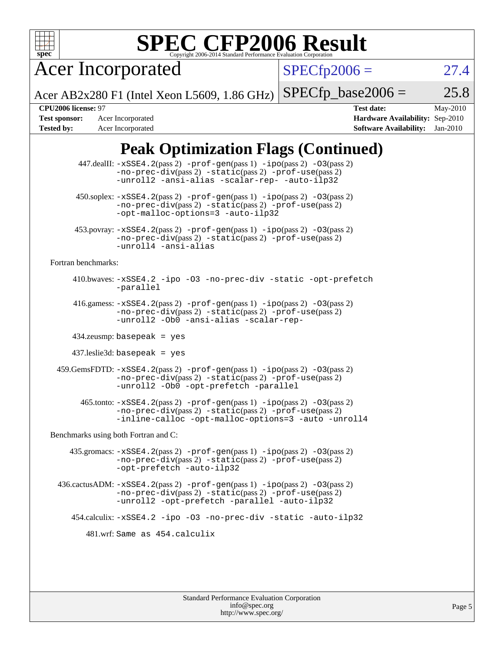

# **[SPEC CFP2006 Result](http://www.spec.org/auto/cpu2006/Docs/result-fields.html#SPECCFP2006Result)**

Acer Incorporated

 $SPECfp2006 = 27.4$  $SPECfp2006 = 27.4$ 

Acer AB2x280 F1 (Intel Xeon L5609, 1.86 GHz)  $SPECTp\_base2006 = 25.8$ 

**[Tested by:](http://www.spec.org/auto/cpu2006/Docs/result-fields.html#Testedby)** Acer Incorporated **[Software Availability:](http://www.spec.org/auto/cpu2006/Docs/result-fields.html#SoftwareAvailability)** Jan-2010

**[CPU2006 license:](http://www.spec.org/auto/cpu2006/Docs/result-fields.html#CPU2006license)** 97 **[Test date:](http://www.spec.org/auto/cpu2006/Docs/result-fields.html#Testdate)** May-2010 **[Test sponsor:](http://www.spec.org/auto/cpu2006/Docs/result-fields.html#Testsponsor)** Acer Incorporated **[Hardware Availability:](http://www.spec.org/auto/cpu2006/Docs/result-fields.html#HardwareAvailability)** Sep-2010

## **[Peak Optimization Flags \(Continued\)](http://www.spec.org/auto/cpu2006/Docs/result-fields.html#PeakOptimizationFlags)**

|                                      | 447.dealII: -xSSE4.2(pass 2) -prof-gen(pass 1) -ipo(pass 2) -03(pass 2)<br>$-no-prec-div(pass 2) -static(pass 2) -prot-use(pass 2)$<br>-unroll2 -ansi-alias -scalar-rep- -auto-ilp32                                               |  |  |  |
|--------------------------------------|------------------------------------------------------------------------------------------------------------------------------------------------------------------------------------------------------------------------------------|--|--|--|
|                                      | $450.\text{soplex: } -x\text{SSE4}.2(\text{pass 2}) -\text{prof-gen}(\text{pass 1}) - \text{ipo}(\text{pass 2}) -03(\text{pass 2})$<br>-no-prec-div(pass 2) -static(pass 2) -prof-use(pass 2)<br>-opt-malloc-options=3 -auto-ilp32 |  |  |  |
|                                      | 453.povray: -xSSE4.2(pass 2) -prof-gen(pass 1) -ipo(pass 2) -03(pass 2)<br>-no-prec-div(pass 2) -static(pass 2) -prof-use(pass 2)<br>-unroll4 -ansi-alias                                                                          |  |  |  |
| Fortran benchmarks:                  |                                                                                                                                                                                                                                    |  |  |  |
|                                      | 410.bwaves: -xSSE4.2 -ipo -03 -no-prec-div -static -opt-prefetch<br>-parallel                                                                                                                                                      |  |  |  |
|                                      | 416.gamess: $-xSSE4$ . $2(pass 2)$ -prof-gen(pass 1) -ipo(pass 2) -03(pass 2)<br>-no-prec-div(pass 2) -static(pass 2) -prof-use(pass 2)<br>-unroll2 - ObO -ansi-alias -scalar-rep-                                                 |  |  |  |
|                                      | $434$ .zeusmp: basepeak = yes                                                                                                                                                                                                      |  |  |  |
|                                      | $437$ .leslie3d: basepeak = yes                                                                                                                                                                                                    |  |  |  |
|                                      | 459.GemsFDTD: -xSSE4.2(pass 2) -prof-gen(pass 1) -ipo(pass 2) -03(pass 2)<br>-no-prec-div(pass 2) -static(pass 2) -prof-use(pass 2)<br>-unroll2 -Ob0 -opt-prefetch -parallel                                                       |  |  |  |
|                                      | 465.tonto: -xSSE4.2(pass 2) -prof-gen(pass 1) -ipo(pass 2) -03(pass 2)<br>-no-prec-div(pass 2) -static(pass 2) -prof-use(pass 2)<br>-inline-calloc -opt-malloc-options=3 -auto -unroll4                                            |  |  |  |
| Benchmarks using both Fortran and C: |                                                                                                                                                                                                                                    |  |  |  |
|                                      | 435.gromacs: $-xSSE4$ . 2(pass 2) $-prof$ -gen(pass 1) $-ipo$ (pass 2) $-O3$ (pass 2)<br>-no-prec-div(pass 2) -static(pass 2) -prof-use(pass 2)<br>-opt-prefetch -auto-ilp32                                                       |  |  |  |
|                                      | $436.cactusADM: -xSSE4.2(pass 2) -prof-gen(pass 1) -ipo(pass 2) -O3(pass 2)$<br>$-no-prec-div(pass 2) -static(pass 2) -prof-use(pass 2)$<br>-unroll2 -opt-prefetch -parallel -auto-ilp32                                           |  |  |  |
|                                      | 454.calculix: -xSSE4.2 -ipo -03 -no-prec-div -static -auto-ilp32                                                                                                                                                                   |  |  |  |
| 481.wrf: Same as 454.calculix        |                                                                                                                                                                                                                                    |  |  |  |
|                                      |                                                                                                                                                                                                                                    |  |  |  |
|                                      |                                                                                                                                                                                                                                    |  |  |  |